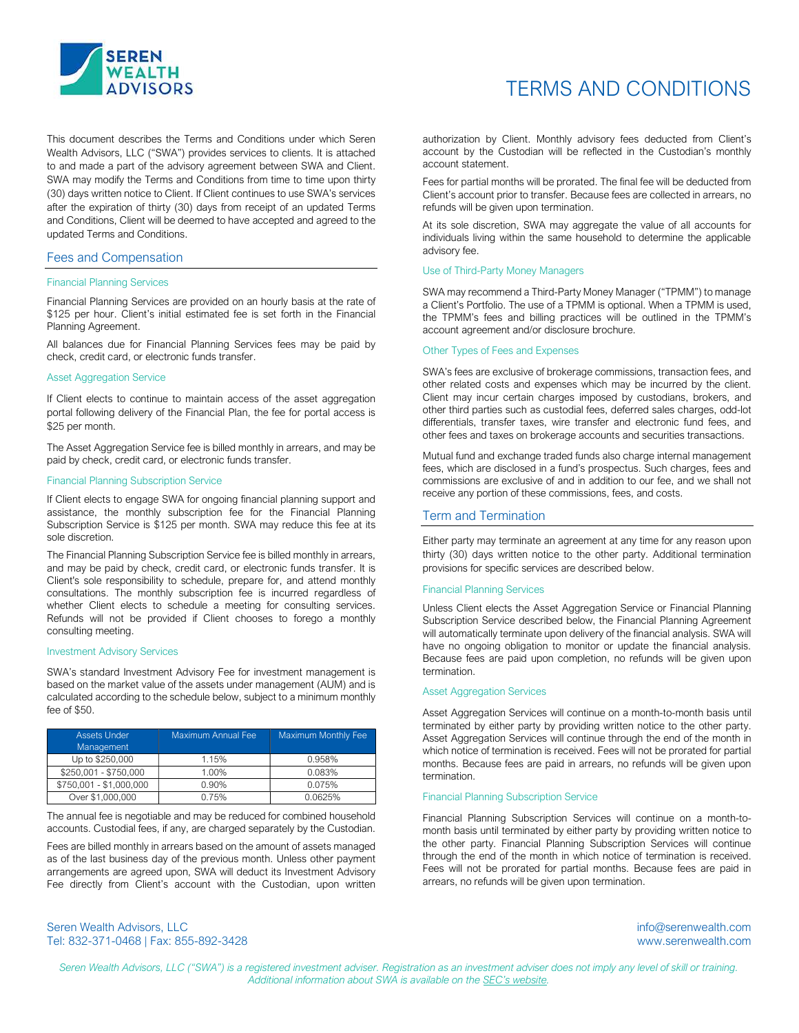

# TERMS AND CONDITIONS

This document describes the Terms and Conditions under which Seren Wealth Advisors, LLC ("SWA") provides services to clients. It is attached to and made a part of the advisory agreement between SWA and Client. SWA may modify the Terms and Conditions from time to time upon thirty (30) days written notice to Client. If Client continues to use SWA's services after the expiration of thirty (30) days from receipt of an updated Terms and Conditions, Client will be deemed to have accepted and agreed to the updated Terms and Conditions.

# Fees and Compensation

#### Financial Planning Services

Financial Planning Services are provided on an hourly basis at the rate of \$125 per hour. Client's initial estimated fee is set forth in the Financial Planning Agreement.

All balances due for Financial Planning Services fees may be paid by check, credit card, or electronic funds transfer.

#### Asset Aggregation Service

If Client elects to continue to maintain access of the asset aggregation portal following delivery of the Financial Plan, the fee for portal access is \$25 per month.

The Asset Aggregation Service fee is billed monthly in arrears, and may be paid by check, credit card, or electronic funds transfer.

#### Financial Planning Subscription Service

If Client elects to engage SWA for ongoing financial planning support and assistance, the monthly subscription fee for the Financial Planning Subscription Service is \$125 per month. SWA may reduce this fee at its sole discretion.

The Financial Planning Subscription Service fee is billed monthly in arrears, and may be paid by check, credit card, or electronic funds transfer. It is Client's sole responsibility to schedule, prepare for, and attend monthly consultations. The monthly subscription fee is incurred regardless of whether Client elects to schedule a meeting for consulting services. Refunds will not be provided if Client chooses to forego a monthly consulting meeting.

#### Investment Advisory Services

SWA's standard Investment Advisory Fee for investment management is based on the market value of the assets under management (AUM) and is calculated according to the schedule below, subject to a minimum monthly fee of \$50.

| <b>Assets Under</b><br>Management | <b>Maximum Annual Fee</b> | <b>Maximum Monthly Fee</b> |
|-----------------------------------|---------------------------|----------------------------|
| Up to \$250,000                   | 1.15%                     | 0.958%                     |
| \$250,001 - \$750,000             | 1.00%                     | 0.083%                     |
| \$750,001 - \$1,000,000           | 0.90%                     | 0.075%                     |
| Over \$1,000,000                  | 0.75%                     | 0.0625%                    |

The annual fee is negotiable and may be reduced for combined household accounts. Custodial fees, if any, are charged separately by the Custodian.

Fees are billed monthly in arrears based on the amount of assets managed as of the last business day of the previous month. Unless other payment arrangements are agreed upon, SWA will deduct its Investment Advisory Fee directly from Client's account with the Custodian, upon written authorization by Client. Monthly advisory fees deducted from Client's account by the Custodian will be reflected in the Custodian's monthly account statement.

Fees for partial months will be prorated. The final fee will be deducted from Client's account prior to transfer. Because fees are collected in arrears, no refunds will be given upon termination.

At its sole discretion, SWA may aggregate the value of all accounts for individuals living within the same household to determine the applicable advisory fee.

# Use of Third-Party Money Managers

SWA may recommend a Third-Party Money Manager ("TPMM") to manage a Client's Portfolio. The use of a TPMM is optional. When a TPMM is used, the TPMM's fees and billing practices will be outlined in the TPMM's account agreement and/or disclosure brochure.

#### Other Types of Fees and Expenses

SWA's fees are exclusive of brokerage commissions, transaction fees, and other related costs and expenses which may be incurred by the client. Client may incur certain charges imposed by custodians, brokers, and other third parties such as custodial fees, deferred sales charges, odd-lot differentials, transfer taxes, wire transfer and electronic fund fees, and other fees and taxes on brokerage accounts and securities transactions.

Mutual fund and exchange traded funds also charge internal management fees, which are disclosed in a fund's prospectus. Such charges, fees and commissions are exclusive of and in addition to our fee, and we shall not receive any portion of these commissions, fees, and costs.

## Term and Termination

Either party may terminate an agreement at any time for any reason upon thirty (30) days written notice to the other party. Additional termination provisions for specific services are described below.

# Financial Planning Services

Unless Client elects the Asset Aggregation Service or Financial Planning Subscription Service described below, the Financial Planning Agreement will automatically terminate upon delivery of the financial analysis. SWA will have no ongoing obligation to monitor or update the financial analysis. Because fees are paid upon completion, no refunds will be given upon termination.

#### Asset Aggregation Services

Asset Aggregation Services will continue on a month-to-month basis until terminated by either party by providing written notice to the other party. Asset Aggregation Services will continue through the end of the month in which notice of termination is received. Fees will not be prorated for partial months. Because fees are paid in arrears, no refunds will be given upon termination.

# Financial Planning Subscription Service

Financial Planning Subscription Services will continue on a month-tomonth basis until terminated by either party by providing written notice to the other party. Financial Planning Subscription Services will continue through the end of the month in which notice of termination is received. Fees will not be prorated for partial months. Because fees are paid in arrears, no refunds will be given upon termination.

Seren Wealth Advisors, LLC info@serenwealth.com Tel: 832-371-0468 | Fax: 855-892-3428 www.serenwealth.com

Seren Wealth Advisors, LLC ("SWA") is a registered investment adviser. Registration as an investment adviser does not imply any level of skill or training. Additional information about SWA is available on the SEC's website.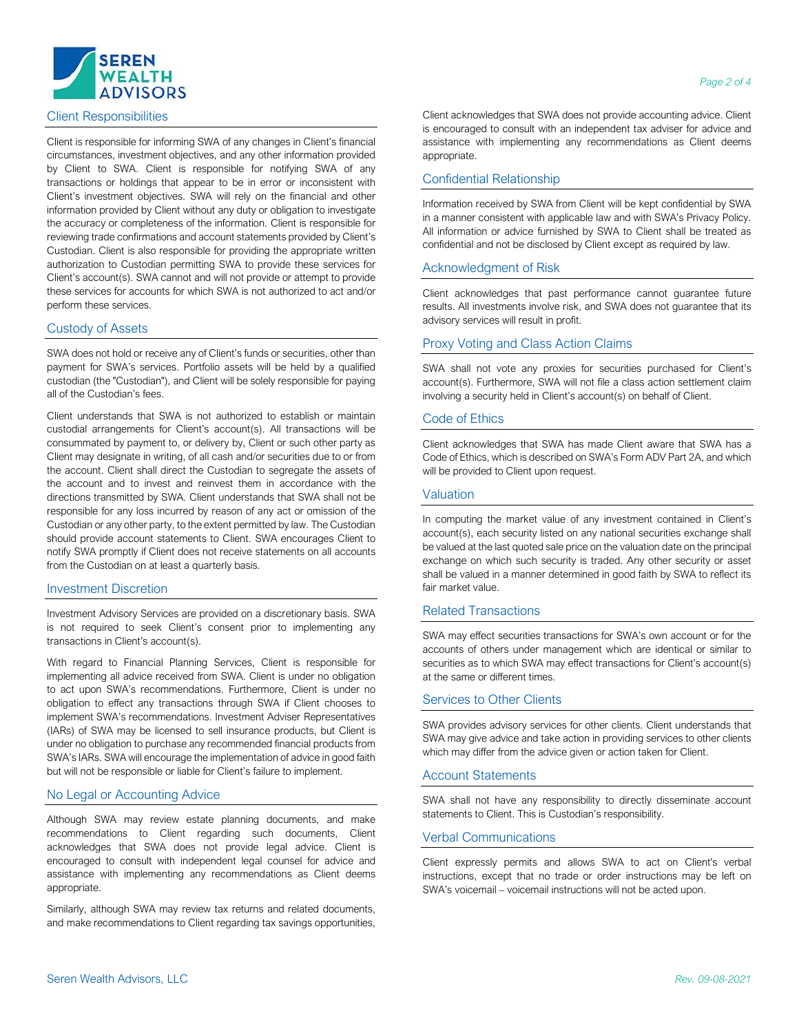

# Client Responsibilities

Client is responsible for informing SWA of any changes in Client's financial circumstances, investment objectives, and any other information provided by Client to SWA. Client is responsible for notifying SWA of any transactions or holdings that appear to be in error or inconsistent with Client's investment objectives. SWA will rely on the financial and other information provided by Client without any duty or obligation to investigate the accuracy or completeness of the information. Client is responsible for reviewing trade confirmations and account statements provided by Client's Custodian. Client is also responsible for providing the appropriate written authorization to Custodian permitting SWA to provide these services for Client's account(s). SWA cannot and will not provide or attempt to provide these services for accounts for which SWA is not authorized to act and/or perform these services.

# Custody of Assets

SWA does not hold or receive any of Client's funds or securities, other than payment for SWA's services. Portfolio assets will be held by a qualified custodian (the "Custodian"), and Client will be solely responsible for paying all of the Custodian's fees.

Client understands that SWA is not authorized to establish or maintain custodial arrangements for Client's account(s). All transactions will be consummated by payment to, or delivery by, Client or such other party as Client may designate in writing, of all cash and/or securities due to or from the account. Client shall direct the Custodian to segregate the assets of the account and to invest and reinvest them in accordance with the directions transmitted by SWA. Client understands that SWA shall not be responsible for any loss incurred by reason of any act or omission of the Custodian or any other party, to the extent permitted by law. The Custodian should provide account statements to Client. SWA encourages Client to notify SWA promptly if Client does not receive statements on all accounts from the Custodian on at least a quarterly basis.

# Investment Discretion

Investment Advisory Services are provided on a discretionary basis. SWA is not required to seek Client's consent prior to implementing any transactions in Client's account(s).

With regard to Financial Planning Services, Client is responsible for implementing all advice received from SWA. Client is under no obligation to act upon SWA's recommendations. Furthermore, Client is under no obligation to effect any transactions through SWA if Client chooses to implement SWA's recommendations. Investment Adviser Representatives (IARs) of SWA may be licensed to sell insurance products, but Client is under no obligation to purchase any recommended financial products from SWA's IARs. SWA will encourage the implementation of advice in good faith but will not be responsible or liable for Client's failure to implement.

# No Legal or Accounting Advice

Although SWA may review estate planning documents, and make recommendations to Client regarding such documents, Client acknowledges that SWA does not provide legal advice. Client is encouraged to consult with independent legal counsel for advice and assistance with implementing any recommendations as Client deems appropriate.

Similarly, although SWA may review tax returns and related documents, and make recommendations to Client regarding tax savings opportunities,

Client acknowledges that SWA does not provide accounting advice. Client is encouraged to consult with an independent tax adviser for advice and assistance with implementing any recommendations as Client deems appropriate.

# Confidential Relationship

Information received by SWA from Client will be kept confidential by SWA in a manner consistent with applicable law and with SWA's Privacy Policy. All information or advice furnished by SWA to Client shall be treated as confidential and not be disclosed by Client except as required by law.

# Acknowledgment of Risk

Client acknowledges that past performance cannot guarantee future results. All investments involve risk, and SWA does not guarantee that its advisory services will result in profit.

#### Proxy Voting and Class Action Claims

SWA shall not vote any proxies for securities purchased for Client's account(s). Furthermore, SWA will not file a class action settlement claim involving a security held in Client's account(s) on behalf of Client.

## Code of Ethics

Client acknowledges that SWA has made Client aware that SWA has a Code of Ethics, which is described on SWA's Form ADV Part 2A, and which will be provided to Client upon request.

# Valuation

In computing the market value of any investment contained in Client's account(s), each security listed on any national securities exchange shall be valued at the last quoted sale price on the valuation date on the principal exchange on which such security is traded. Any other security or asset shall be valued in a manner determined in good faith by SWA to reflect its fair market value.

# Related Transactions

SWA may effect securities transactions for SWA's own account or for the accounts of others under management which are identical or similar to securities as to which SWA may effect transactions for Client's account(s) at the same or different times.

# Services to Other Clients

SWA provides advisory services for other clients. Client understands that SWA may give advice and take action in providing services to other clients which may differ from the advice given or action taken for Client.

# Account Statements

SWA shall not have any responsibility to directly disseminate account statements to Client. This is Custodian's responsibility.

# Verbal Communications

Client expressly permits and allows SWA to act on Client's verbal instructions, except that no trade or order instructions may be left on SWA's voicemail – voicemail instructions will not be acted upon.